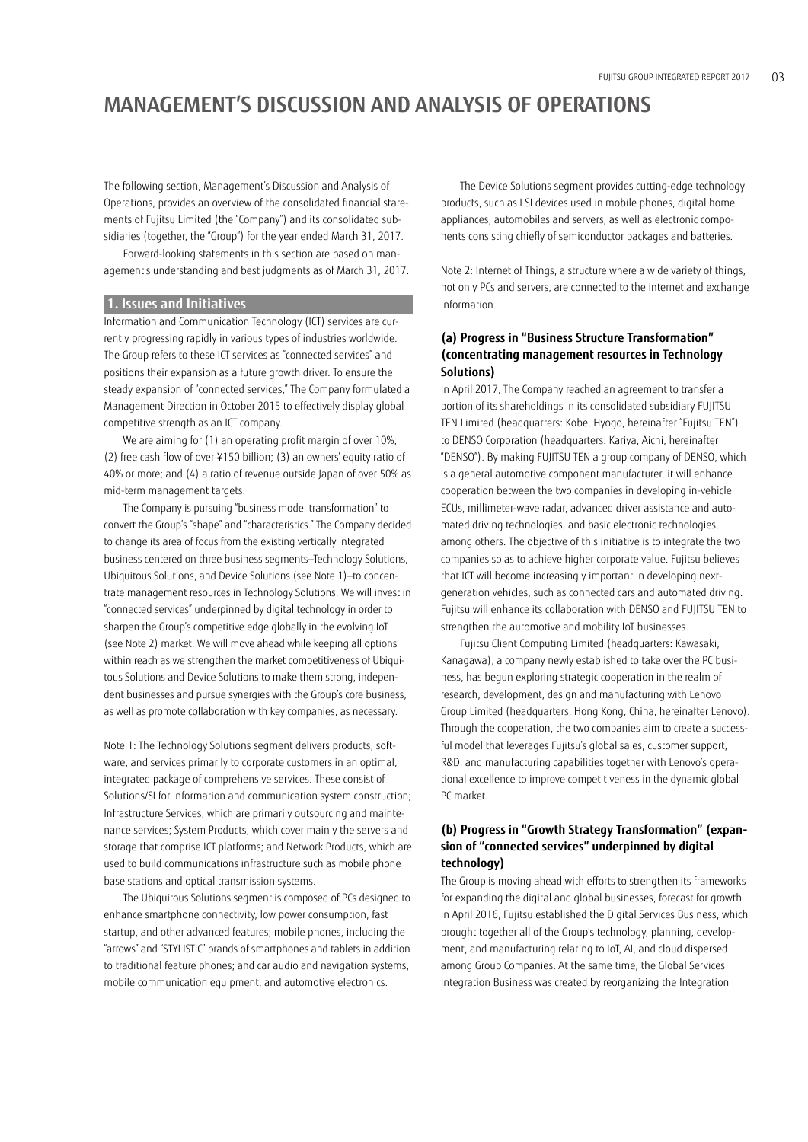# **MANAGEMENT'S DISCUSSION AND ANALYSIS OF OPERATIONS**

The following section, Management's Discussion and Analysis of Operations, provides an overview of the consolidated financial statements of Fujitsu Limited (the "Company") and its consolidated subsidiaries (together, the "Group") for the year ended March 31, 2017.

Forward-looking statements in this section are based on management's understanding and best judgments as of March 31, 2017.

# **1. Issues and Initiatives**

Information and Communication Technology (ICT) services are currently progressing rapidly in various types of industries worldwide. The Group refers to these ICT services as "connected services" and positions their expansion as a future growth driver. To ensure the steady expansion of "connected services," The Company formulated a Management Direction in October 2015 to effectively display global competitive strength as an ICT company.

We are aiming for (1) an operating profit margin of over 10%; (2) free cash flow of over ¥150 billion; (3) an owners' equity ratio of 40% or more; and (4) a ratio of revenue outside Japan of over 50% as mid-term management targets.

The Company is pursuing "business model transformation" to convert the Group's "shape" and "characteristics." The Company decided to change its area of focus from the existing vertically integrated business centered on three business segments—Technology Solutions, Ubiquitous Solutions, and Device Solutions (see Note 1)—to concentrate management resources in Technology Solutions. We will invest in "connected services" underpinned by digital technology in order to sharpen the Group's competitive edge globally in the evolving IoT (see Note 2) market. We will move ahead while keeping all options within reach as we strengthen the market competitiveness of Ubiquitous Solutions and Device Solutions to make them strong, independent businesses and pursue synergies with the Group's core business, as well as promote collaboration with key companies, as necessary.

Note 1: The Technology Solutions segment delivers products, software, and services primarily to corporate customers in an optimal, integrated package of comprehensive services. These consist of Solutions/SI for information and communication system construction; Infrastructure Services, which are primarily outsourcing and maintenance services; System Products, which cover mainly the servers and storage that comprise ICT platforms; and Network Products, which are used to build communications infrastructure such as mobile phone base stations and optical transmission systems.

The Ubiquitous Solutions segment is composed of PCs designed to enhance smartphone connectivity, low power consumption, fast startup, and other advanced features; mobile phones, including the "arrows" and "STYLISTIC" brands of smartphones and tablets in addition to traditional feature phones; and car audio and navigation systems, mobile communication equipment, and automotive electronics.

The Device Solutions segment provides cutting-edge technology products, such as LSI devices used in mobile phones, digital home appliances, automobiles and servers, as well as electronic components consisting chiefly of semiconductor packages and batteries.

Note 2: Internet of Things, a structure where a wide variety of things, not only PCs and servers, are connected to the internet and exchange information.

# **(a) Progress in "Business Structure Transformation" (concentrating management resources in Technology Solutions)**

In April 2017, The Company reached an agreement to transfer a portion of its shareholdings in its consolidated subsidiary FUJITSU TEN Limited (headquarters: Kobe, Hyogo, hereinafter "Fujitsu TEN") to DENSO Corporation (headquarters: Kariya, Aichi, hereinafter "DENSO"). By making FUJITSU TEN a group company of DENSO, which is a general automotive component manufacturer, it will enhance cooperation between the two companies in developing in-vehicle ECUs, millimeter-wave radar, advanced driver assistance and automated driving technologies, and basic electronic technologies, among others. The objective of this initiative is to integrate the two companies so as to achieve higher corporate value. Fujitsu believes that ICT will become increasingly important in developing nextgeneration vehicles, such as connected cars and automated driving. Fujitsu will enhance its collaboration with DENSO and FUJITSU TEN to strengthen the automotive and mobility IoT businesses.

Fujitsu Client Computing Limited (headquarters: Kawasaki, Kanagawa), a company newly established to take over the PC business, has begun exploring strategic cooperation in the realm of research, development, design and manufacturing with Lenovo Group Limited (headquarters: Hong Kong, China, hereinafter Lenovo). Through the cooperation, the two companies aim to create a successful model that leverages Fujitsu's global sales, customer support, R&D, and manufacturing capabilities together with Lenovo's operational excellence to improve competitiveness in the dynamic global PC market.

# **(b) Progress in "Growth Strategy Transformation" (expansion of "connected services" underpinned by digital technology)**

The Group is moving ahead with efforts to strengthen its frameworks for expanding the digital and global businesses, forecast for growth. In April 2016, Fujitsu established the Digital Services Business, which brought together all of the Group's technology, planning, development, and manufacturing relating to IoT, AI, and cloud dispersed among Group Companies. At the same time, the Global Services Integration Business was created by reorganizing the Integration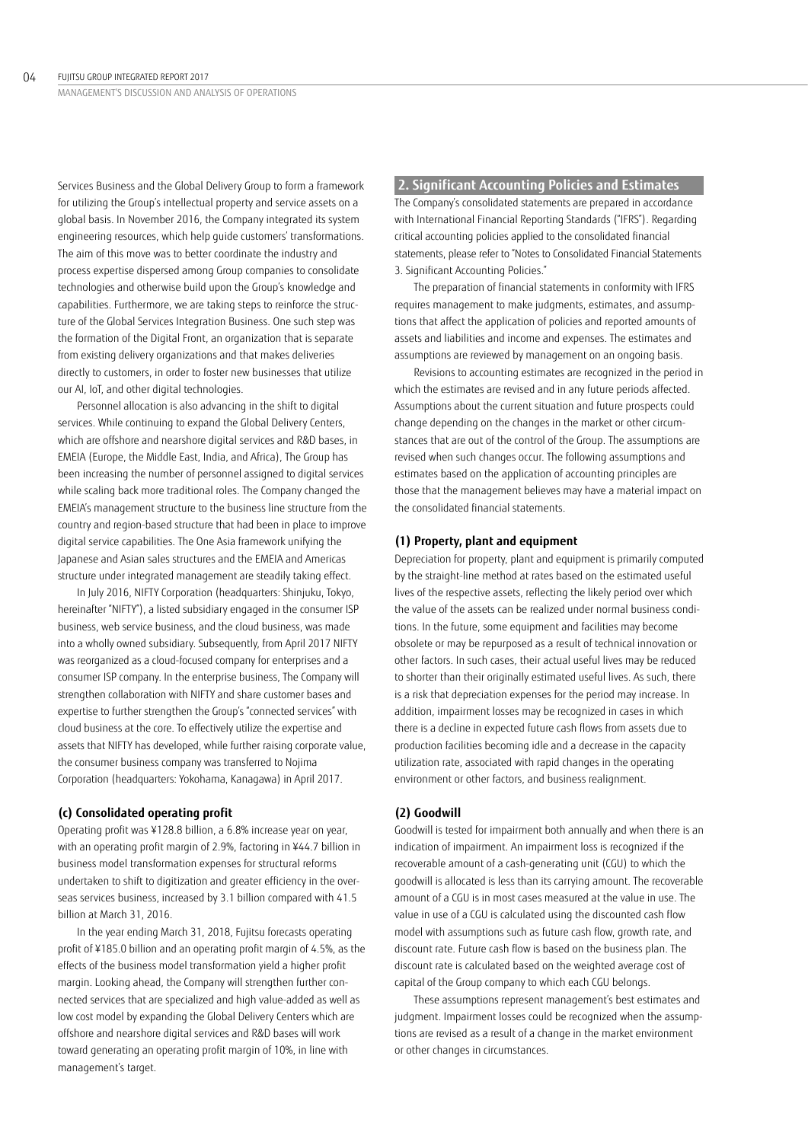Services Business and the Global Delivery Group to form a framework for utilizing the Group's intellectual property and service assets on a global basis. In November 2016, the Company integrated its system engineering resources, which help guide customers' transformations. The aim of this move was to better coordinate the industry and process expertise dispersed among Group companies to consolidate technologies and otherwise build upon the Group's knowledge and capabilities. Furthermore, we are taking steps to reinforce the structure of the Global Services Integration Business. One such step was the formation of the Digital Front, an organization that is separate from existing delivery organizations and that makes deliveries directly to customers, in order to foster new businesses that utilize our AI, IoT, and other digital technologies.

Personnel allocation is also advancing in the shift to digital services. While continuing to expand the Global Delivery Centers, which are offshore and nearshore digital services and R&D bases, in EMEIA (Europe, the Middle East, India, and Africa), The Group has been increasing the number of personnel assigned to digital services while scaling back more traditional roles. The Company changed the EMEIA's management structure to the business line structure from the country and region-based structure that had been in place to improve digital service capabilities. The One Asia framework unifying the Japanese and Asian sales structures and the EMEIA and Americas structure under integrated management are steadily taking effect.

In July 2016, NIFTY Corporation (headquarters: Shinjuku, Tokyo, hereinafter "NIFTY"), a listed subsidiary engaged in the consumer ISP business, web service business, and the cloud business, was made into a wholly owned subsidiary. Subsequently, from April 2017 NIFTY was reorganized as a cloud-focused company for enterprises and a consumer ISP company. In the enterprise business, The Company will strengthen collaboration with NIFTY and share customer bases and expertise to further strengthen the Group's "connected services" with cloud business at the core. To effectively utilize the expertise and assets that NIFTY has developed, while further raising corporate value, the consumer business company was transferred to Nojima Corporation (headquarters: Yokohama, Kanagawa) in April 2017.

## **(c) Consolidated operating profit**

Operating profit was ¥128.8 billion, a 6.8% increase year on year, with an operating profit margin of 2.9%, factoring in ¥44.7 billion in business model transformation expenses for structural reforms undertaken to shift to digitization and greater efficiency in the overseas services business, increased by 3.1 billion compared with 41.5 billion at March 31, 2016.

In the year ending March 31, 2018, Fujitsu forecasts operating profit of ¥185.0 billion and an operating profit margin of 4.5%, as the effects of the business model transformation yield a higher profit margin. Looking ahead, the Company will strengthen further connected services that are specialized and high value-added as well as low cost model by expanding the Global Delivery Centers which are offshore and nearshore digital services and R&D bases will work toward generating an operating profit margin of 10%, in line with management's target.

# **2. Significant Accounting Policies and Estimates**

The Company's consolidated statements are prepared in accordance with International Financial Reporting Standards ("IFRS"). Regarding critical accounting policies applied to the consolidated financial statements, please refer to "Notes to Consolidated Financial Statements 3. Significant Accounting Policies."

The preparation of financial statements in conformity with IFRS requires management to make judgments, estimates, and assumptions that affect the application of policies and reported amounts of assets and liabilities and income and expenses. The estimates and assumptions are reviewed by management on an ongoing basis.

Revisions to accounting estimates are recognized in the period in which the estimates are revised and in any future periods affected. Assumptions about the current situation and future prospects could change depending on the changes in the market or other circumstances that are out of the control of the Group. The assumptions are revised when such changes occur. The following assumptions and estimates based on the application of accounting principles are those that the management believes may have a material impact on the consolidated financial statements.

# **(1) Property, plant and equipment**

Depreciation for property, plant and equipment is primarily computed by the straight-line method at rates based on the estimated useful lives of the respective assets, reflecting the likely period over which the value of the assets can be realized under normal business conditions. In the future, some equipment and facilities may become obsolete or may be repurposed as a result of technical innovation or other factors. In such cases, their actual useful lives may be reduced to shorter than their originally estimated useful lives. As such, there is a risk that depreciation expenses for the period may increase. In addition, impairment losses may be recognized in cases in which there is a decline in expected future cash flows from assets due to production facilities becoming idle and a decrease in the capacity utilization rate, associated with rapid changes in the operating environment or other factors, and business realignment.

# **(2) Goodwill**

Goodwill is tested for impairment both annually and when there is an indication of impairment. An impairment loss is recognized if the recoverable amount of a cash-generating unit (CGU) to which the goodwill is allocated is less than its carrying amount. The recoverable amount of a CGU is in most cases measured at the value in use. The value in use of a CGU is calculated using the discounted cash flow model with assumptions such as future cash flow, growth rate, and discount rate. Future cash flow is based on the business plan. The discount rate is calculated based on the weighted average cost of capital of the Group company to which each CGU belongs.

These assumptions represent management's best estimates and judgment. Impairment losses could be recognized when the assumptions are revised as a result of a change in the market environment or other changes in circumstances.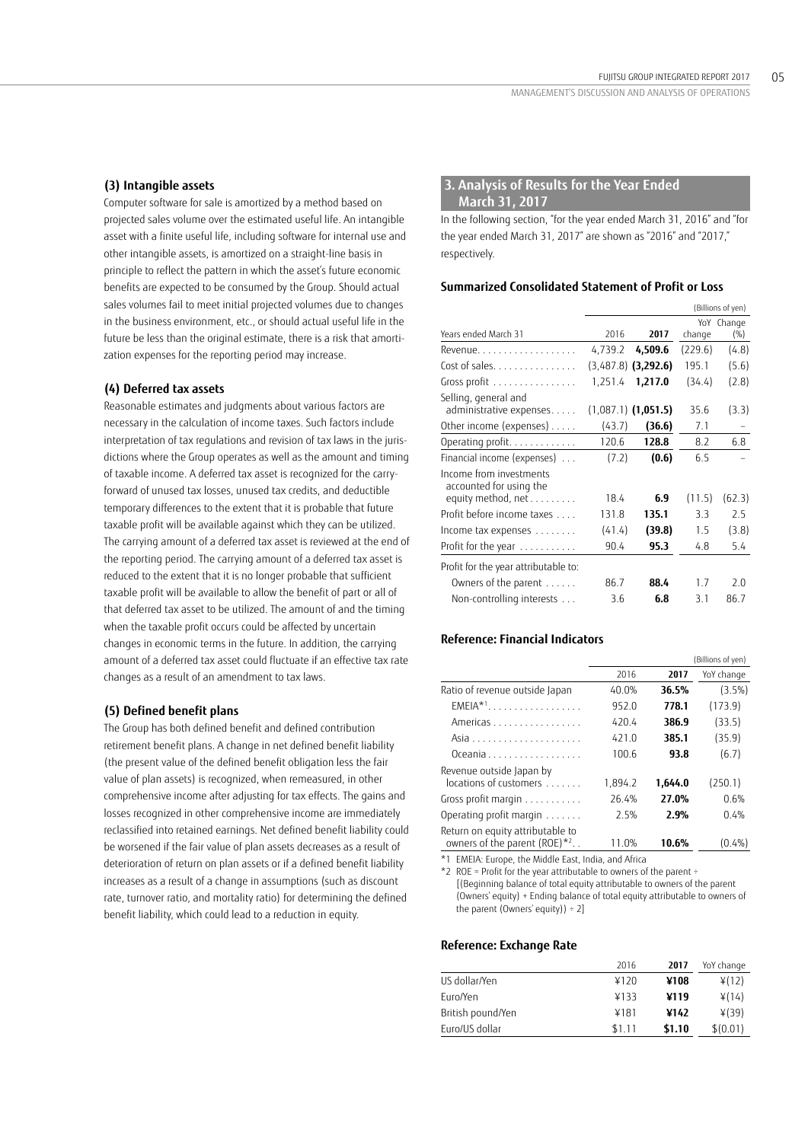## **(3) Intangible assets**

Computer software for sale is amortized by a method based on projected sales volume over the estimated useful life. An intangible asset with a finite useful life, including software for internal use and other intangible assets, is amortized on a straight-line basis in principle to reflect the pattern in which the asset's future economic benefits are expected to be consumed by the Group. Should actual sales volumes fail to meet initial projected volumes due to changes in the business environment, etc., or should actual useful life in the future be less than the original estimate, there is a risk that amortization expenses for the reporting period may increase.

## **(4) Deferred tax assets**

Reasonable estimates and judgments about various factors are necessary in the calculation of income taxes. Such factors include interpretation of tax regulations and revision of tax laws in the jurisdictions where the Group operates as well as the amount and timing of taxable income. A deferred tax asset is recognized for the carryforward of unused tax losses, unused tax credits, and deductible temporary differences to the extent that it is probable that future taxable profit will be available against which they can be utilized. The carrying amount of a deferred tax asset is reviewed at the end of the reporting period. The carrying amount of a deferred tax asset is reduced to the extent that it is no longer probable that sufficient taxable profit will be available to allow the benefit of part or all of that deferred tax asset to be utilized. The amount of and the timing when the taxable profit occurs could be affected by uncertain changes in economic terms in the future. In addition, the carrying amount of a deferred tax asset could fluctuate if an effective tax rate changes as a result of an amendment to tax laws.

## **(5) Defined benefit plans**

The Group has both defined benefit and defined contribution retirement benefit plans. A change in net defined benefit liability (the present value of the defined benefit obligation less the fair value of plan assets) is recognized, when remeasured, in other comprehensive income after adjusting for tax effects. The gains and losses recognized in other comprehensive income are immediately reclassified into retained earnings. Net defined benefit liability could be worsened if the fair value of plan assets decreases as a result of deterioration of return on plan assets or if a defined benefit liability increases as a result of a change in assumptions (such as discount rate, turnover ratio, and mortality ratio) for determining the defined benefit liability, which could lead to a reduction in equity.

# **3. Analysis of Results for the Year Ended March 31, 2017**

In the following section, "for the year ended March 31, 2016" and "for the year ended March 31, 2017" are shown as "2016" and "2017," respectively.

#### **Summarized Consolidated Statement of Profit or Loss**

|                                                                          |         |                       |         | (Billions of yen) |
|--------------------------------------------------------------------------|---------|-----------------------|---------|-------------------|
| Years ended March 31                                                     | 2016    | 2017                  | change  | YoY Change<br>(%) |
| Revenue.                                                                 | 4,739.2 | 4,509.6               | (229.6) | (4.8)             |
| Cost of sales.                                                           |         | $(3,487.8)$ (3,292.6) | 195.1   | (5.6)             |
| Gross profit                                                             | 1,251.4 | 1,217.0               | (34.4)  | (2.8)             |
| Selling, general and<br>administrative expenses                          |         | $(1,087.1)$ (1,051.5) | 35.6    | (3.3)             |
| Other income (expenses)                                                  | (43.7)  | (36.6)                | 7.1     |                   |
| Operating profit.                                                        | 120.6   | 128.8                 | 8.2     | 6.8               |
| Financial income (expenses)                                              | (7.2)   | (0.6)                 | 6.5     |                   |
| Income from investments<br>accounted for using the<br>equity method, net | 18.4    | 6.9                   | (11.5)  | (62.3)            |
| Profit before income taxes                                               | 131.8   | 135.1                 | 3.3     | 2.5               |
|                                                                          |         |                       |         |                   |
| Income tax expenses                                                      | (41.4)  | (39.8)                | 1.5     | (3.8)             |
| Profit for the year $\dots\dots\dots\dots$                               | 90.4    | 95.3                  | 4.8     | 5.4               |
| Profit for the year attributable to:                                     |         |                       |         |                   |
| Owners of the parent $\dots$ .                                           | 86.7    | 88.4                  | 17      | 2.0               |
| Non-controlling interests                                                | 3.6     | 6.8                   | 3.1     | 86.7              |

#### **Reference: Financial Indicators**

|                                                                       |          |         | (Billions of yen) |
|-----------------------------------------------------------------------|----------|---------|-------------------|
|                                                                       | 2016     | 2017    | YoY change        |
| Ratio of revenue outside Japan                                        | $40.0\%$ | 36.5%   | $(3.5\%)$         |
| $EMEIA*1$                                                             | 952.0    | 778.1   | (173.9)           |
| Americas                                                              | 420.4    | 386.9   | (33.5)            |
|                                                                       | 4210     | 385.1   | (35.9)            |
| Oceania                                                               | 100.6    | 93.8    | (6.7)             |
| Revenue outside Japan by                                              |          |         |                   |
| locations of customers                                                | 1.894.2  | 1,644.0 | (250.1)           |
| Gross profit margin                                                   | 26.4%    | 27.0%   | 0.6%              |
| Operating profit margin                                               | 2.5%     | 2.9%    | 0.4%              |
| Return on equity attributable to<br>owners of the parent $(ROE)^{*2}$ | 11.0%    | 10.6%   | (0.4%)            |

\*1 EMEIA: Europe, the Middle East, India, and Africa

 $*2$  ROE = Profit for the year attributable to owners of the parent ÷

[(Beginning balance of total equity attributable to owners of the parent (Owners' equity) + Ending balance of total equity attributable to owners of the parent (Owners' equity))  $\div 2$ ]

#### **Reference: Exchange Rate**

|                   | 2016   | 2017   | YoY change |
|-------------------|--------|--------|------------|
| US dollar/Yen     | ¥120   | ¥108   | 4(12)      |
| Euro/Yen          | ¥133   | ¥119   | ¥(14)      |
| British pound/Yen | ¥181   | ¥142   | $*(39)$    |
| Euro/US dollar    | \$1.11 | \$1.10 | \$(0.01)   |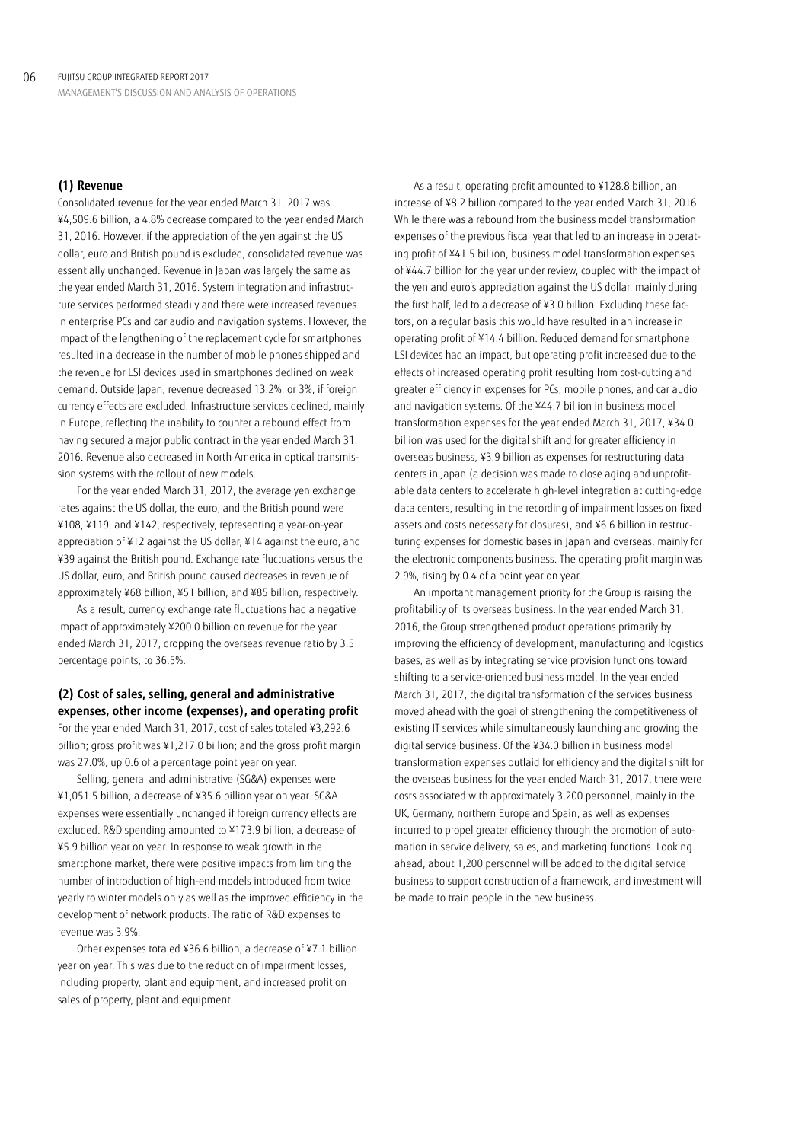## **(1) Revenue**

Consolidated revenue for the year ended March 31, 2017 was ¥4,509.6 billion, a 4.8% decrease compared to the year ended March 31, 2016. However, if the appreciation of the yen against the US dollar, euro and British pound is excluded, consolidated revenue was essentially unchanged. Revenue in Japan was largely the same as the year ended March 31, 2016. System integration and infrastructure services performed steadily and there were increased revenues in enterprise PCs and car audio and navigation systems. However, the impact of the lengthening of the replacement cycle for smartphones resulted in a decrease in the number of mobile phones shipped and the revenue for LSI devices used in smartphones declined on weak demand. Outside Japan, revenue decreased 13.2%, or 3%, if foreign currency effects are excluded. Infrastructure services declined, mainly in Europe, reflecting the inability to counter a rebound effect from having secured a major public contract in the year ended March 31, 2016. Revenue also decreased in North America in optical transmission systems with the rollout of new models.

For the year ended March 31, 2017, the average yen exchange rates against the US dollar, the euro, and the British pound were ¥108, ¥119, and ¥142, respectively, representing a year-on-year appreciation of ¥12 against the US dollar, ¥14 against the euro, and ¥39 against the British pound. Exchange rate fluctuations versus the US dollar, euro, and British pound caused decreases in revenue of approximately ¥68 billion, ¥51 billion, and ¥85 billion, respectively.

As a result, currency exchange rate fluctuations had a negative impact of approximately ¥200.0 billion on revenue for the year ended March 31, 2017, dropping the overseas revenue ratio by 3.5 percentage points, to 36.5%.

# **(2) Cost of sales, selling, general and administrative expenses, other income (expenses), and operating profit**

For the year ended March 31, 2017, cost of sales totaled ¥3,292.6 billion; gross profit was ¥1,217.0 billion; and the gross profit margin was 27.0%, up 0.6 of a percentage point year on year.

Selling, general and administrative (SG&A) expenses were ¥1,051.5 billion, a decrease of ¥35.6 billion year on year. SG&A expenses were essentially unchanged if foreign currency effects are excluded. R&D spending amounted to ¥173.9 billion, a decrease of ¥5.9 billion year on year. In response to weak growth in the smartphone market, there were positive impacts from limiting the number of introduction of high-end models introduced from twice yearly to winter models only as well as the improved efficiency in the development of network products. The ratio of R&D expenses to revenue was 3.9%.

Other expenses totaled ¥36.6 billion, a decrease of ¥7.1 billion year on year. This was due to the reduction of impairment losses, including property, plant and equipment, and increased profit on sales of property, plant and equipment.

As a result, operating profit amounted to ¥128.8 billion, an increase of ¥8.2 billion compared to the year ended March 31, 2016. While there was a rebound from the business model transformation expenses of the previous fiscal year that led to an increase in operating profit of ¥41.5 billion, business model transformation expenses of ¥44.7 billion for the year under review, coupled with the impact of the yen and euro's appreciation against the US dollar, mainly during the first half, led to a decrease of ¥3.0 billion. Excluding these factors, on a regular basis this would have resulted in an increase in operating profit of ¥14.4 billion. Reduced demand for smartphone LSI devices had an impact, but operating profit increased due to the effects of increased operating profit resulting from cost-cutting and greater efficiency in expenses for PCs, mobile phones, and car audio and navigation systems. Of the ¥44.7 billion in business model transformation expenses for the year ended March 31, 2017, ¥34.0 billion was used for the digital shift and for greater efficiency in overseas business, ¥3.9 billion as expenses for restructuring data centers in Japan (a decision was made to close aging and unprofitable data centers to accelerate high-level integration at cutting-edge data centers, resulting in the recording of impairment losses on fixed assets and costs necessary for closures), and ¥6.6 billion in restructuring expenses for domestic bases in Japan and overseas, mainly for the electronic components business. The operating profit margin was 2.9%, rising by 0.4 of a point year on year.

An important management priority for the Group is raising the profitability of its overseas business. In the year ended March 31, 2016, the Group strengthened product operations primarily by improving the efficiency of development, manufacturing and logistics bases, as well as by integrating service provision functions toward shifting to a service-oriented business model. In the year ended March 31, 2017, the digital transformation of the services business moved ahead with the goal of strengthening the competitiveness of existing IT services while simultaneously launching and growing the digital service business. Of the ¥34.0 billion in business model transformation expenses outlaid for efficiency and the digital shift for the overseas business for the year ended March 31, 2017, there were costs associated with approximately 3,200 personnel, mainly in the UK, Germany, northern Europe and Spain, as well as expenses incurred to propel greater efficiency through the promotion of automation in service delivery, sales, and marketing functions. Looking ahead, about 1,200 personnel will be added to the digital service business to support construction of a framework, and investment will be made to train people in the new business.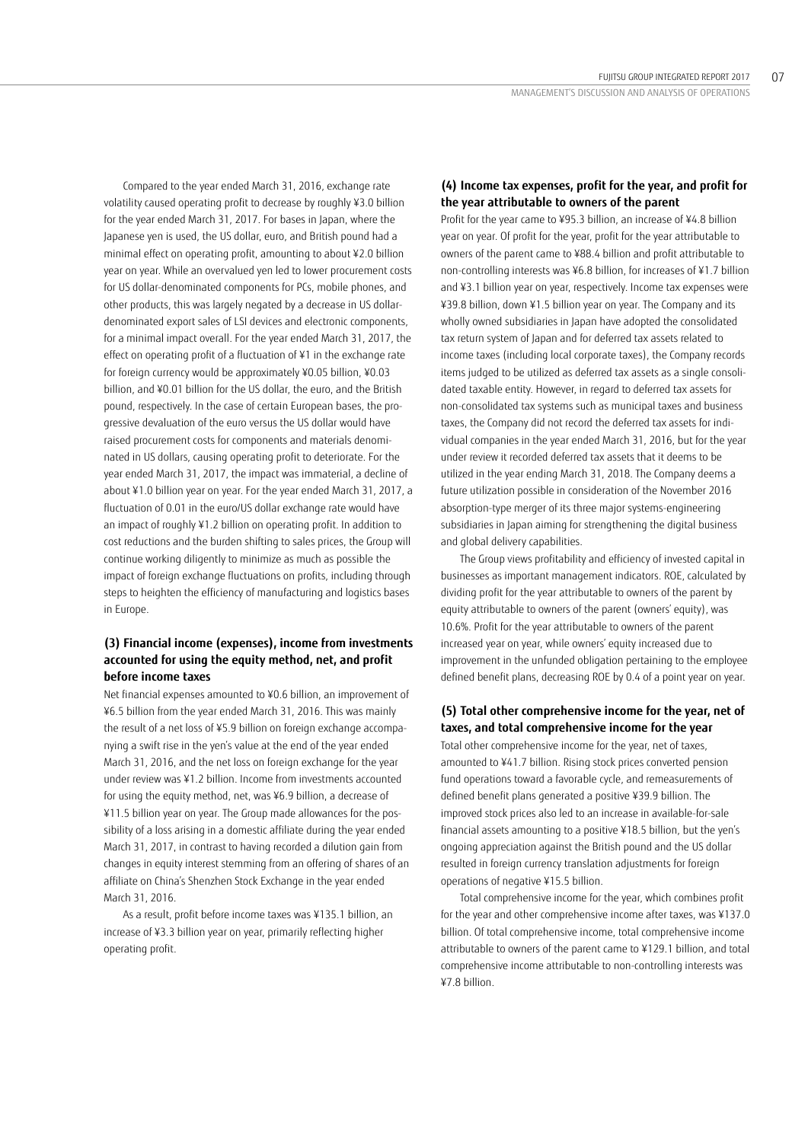Compared to the year ended March 31, 2016, exchange rate volatility caused operating profit to decrease by roughly ¥3.0 billion for the year ended March 31, 2017. For bases in Japan, where the Japanese yen is used, the US dollar, euro, and British pound had a minimal effect on operating profit, amounting to about ¥2.0 billion year on year. While an overvalued yen led to lower procurement costs for US dollar-denominated components for PCs, mobile phones, and other products, this was largely negated by a decrease in US dollardenominated export sales of LSI devices and electronic components, for a minimal impact overall. For the year ended March 31, 2017, the effect on operating profit of a fluctuation of ¥1 in the exchange rate for foreign currency would be approximately ¥0.05 billion, ¥0.03 billion, and ¥0.01 billion for the US dollar, the euro, and the British pound, respectively. In the case of certain European bases, the progressive devaluation of the euro versus the US dollar would have raised procurement costs for components and materials denominated in US dollars, causing operating profit to deteriorate. For the year ended March 31, 2017, the impact was immaterial, a decline of about ¥1.0 billion year on year. For the year ended March 31, 2017, a fluctuation of 0.01 in the euro/US dollar exchange rate would have an impact of roughly ¥1.2 billion on operating profit. In addition to cost reductions and the burden shifting to sales prices, the Group will continue working diligently to minimize as much as possible the impact of foreign exchange fluctuations on profits, including through steps to heighten the efficiency of manufacturing and logistics bases in Europe.

# **(3) Financial income (expenses), income from investments accounted for using the equity method, net, and profit before income taxes**

Net financial expenses amounted to ¥0.6 billion, an improvement of ¥6.5 billion from the year ended March 31, 2016. This was mainly the result of a net loss of ¥5.9 billion on foreign exchange accompanying a swift rise in the yen's value at the end of the year ended March 31, 2016, and the net loss on foreign exchange for the year under review was ¥1.2 billion. Income from investments accounted for using the equity method, net, was ¥6.9 billion, a decrease of ¥11.5 billion year on year. The Group made allowances for the possibility of a loss arising in a domestic affiliate during the year ended March 31, 2017, in contrast to having recorded a dilution gain from changes in equity interest stemming from an offering of shares of an affiliate on China's Shenzhen Stock Exchange in the year ended March 31, 2016.

As a result, profit before income taxes was ¥135.1 billion, an increase of ¥3.3 billion year on year, primarily reflecting higher operating profit.

# **(4) Income tax expenses, profit for the year, and profit for the year attributable to owners of the parent**

Profit for the year came to ¥95.3 billion, an increase of ¥4.8 billion year on year. Of profit for the year, profit for the year attributable to owners of the parent came to ¥88.4 billion and profit attributable to non-controlling interests was ¥6.8 billion, for increases of ¥1.7 billion and ¥3.1 billion year on year, respectively. Income tax expenses were ¥39.8 billion, down ¥1.5 billion year on year. The Company and its wholly owned subsidiaries in Japan have adopted the consolidated tax return system of Japan and for deferred tax assets related to income taxes (including local corporate taxes), the Company records items judged to be utilized as deferred tax assets as a single consolidated taxable entity. However, in regard to deferred tax assets for non-consolidated tax systems such as municipal taxes and business taxes, the Company did not record the deferred tax assets for individual companies in the year ended March 31, 2016, but for the year under review it recorded deferred tax assets that it deems to be utilized in the year ending March 31, 2018. The Company deems a future utilization possible in consideration of the November 2016 absorption-type merger of its three major systems-engineering subsidiaries in Japan aiming for strengthening the digital business and global delivery capabilities.

The Group views profitability and efficiency of invested capital in businesses as important management indicators. ROE, calculated by dividing profit for the year attributable to owners of the parent by equity attributable to owners of the parent (owners' equity), was 10.6%. Profit for the year attributable to owners of the parent increased year on year, while owners' equity increased due to improvement in the unfunded obligation pertaining to the employee defined benefit plans, decreasing ROE by 0.4 of a point year on year.

# **(5) Total other comprehensive income for the year, net of taxes, and total comprehensive income for the year**

Total other comprehensive income for the year, net of taxes, amounted to ¥41.7 billion. Rising stock prices converted pension fund operations toward a favorable cycle, and remeasurements of defined benefit plans generated a positive ¥39.9 billion. The improved stock prices also led to an increase in available-for-sale financial assets amounting to a positive ¥18.5 billion, but the yen's ongoing appreciation against the British pound and the US dollar resulted in foreign currency translation adjustments for foreign operations of negative ¥15.5 billion.

Total comprehensive income for the year, which combines profit for the year and other comprehensive income after taxes, was ¥137.0 billion. Of total comprehensive income, total comprehensive income attributable to owners of the parent came to ¥129.1 billion, and total comprehensive income attributable to non-controlling interests was ¥7.8 billion.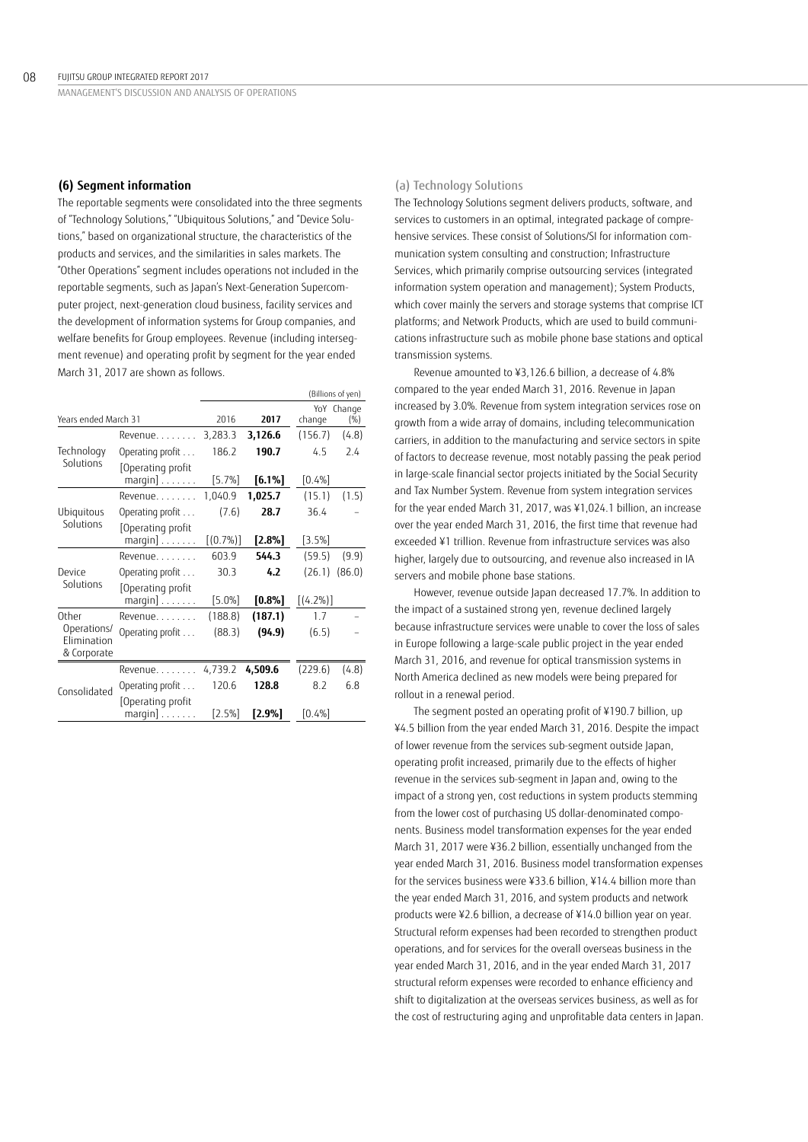#### **(6) Segment information**

The reportable segments were consolidated into the three segments of "Technology Solutions," "Ubiquitous Solutions," and "Device Solutions," based on organizational structure, the characteristics of the products and services, and the similarities in sales markets. The "Other Operations" segment includes operations not included in the reportable segments, such as Japan's Next-Generation Supercomputer project, next-generation cloud business, facility services and the development of information systems for Group companies, and welfare benefits for Group employees. Revenue (including intersegment revenue) and operating profit by segment for the year ended March 31, 2017 are shown as follows.

|                                           |                                               |             |           |             | (Billions of yen) |
|-------------------------------------------|-----------------------------------------------|-------------|-----------|-------------|-------------------|
|                                           |                                               |             |           |             | YoY Change        |
| Years ended March 31                      |                                               | 2016        | 2017      | change      | (%)               |
|                                           | Revenue.                                      | 3,283.3     | 3,126.6   | (156.7)     | (4.8)             |
| Technology                                | Operating profit                              | 186.2       | 190.7     | 4.5         | 7.4               |
| Solutions                                 | Operating profit                              |             |           |             |                   |
|                                           | $margin] \ldots \ldots$ .                     | [5.7%]      | $[6.1\%]$ | [0.4%]      |                   |
|                                           | $Re$ venue                                    | 1,040.9     | 1,025.7   | (15.1)      | (1.5)             |
| Ubiquitous                                | Operating profit                              | (7.6)       | 28.7      | 36.4        |                   |
| Solutions                                 | Operating profit<br>$margin] \ldots \ldots$   | $[(0.7\%)]$ | [2.8%]    | [3.5%]      |                   |
|                                           | Revenue.                                      | 603.9       | 544.3     | (59.5)      | (9.9)             |
| Device                                    | Operating profit                              | 30.3        | 4.2       | (26.1)      | (86.0)            |
| Solutions                                 | Operating profit<br>$margin] \ldots \ldots$ . | $[5.0\%]$   | $[0.8\%]$ | $[(4.2\%)]$ |                   |
| Other                                     | Revenue.                                      | (188.8)     | (187.1)   | 1.7         |                   |
| Operations/<br>Elimination<br>& Corporate | Operating profit                              | (88.3)      | (94.9)    | (6.5)       |                   |
|                                           | Revenue.                                      | 4,739.2     | 4,509.6   | (229.6)     | (4.8)             |
| Consolidated                              | Operating profit                              | 120.6       | 128.8     | 8.2         | 6.8               |
|                                           | Operating profit<br>$margin] \ldots \ldots$ . | [2.5%]      | $[2.9\%]$ | [0.4%]      |                   |

#### (a) Technology Solutions

The Technology Solutions segment delivers products, software, and services to customers in an optimal, integrated package of comprehensive services. These consist of Solutions/SI for information communication system consulting and construction; Infrastructure Services, which primarily comprise outsourcing services (integrated information system operation and management); System Products, which cover mainly the servers and storage systems that comprise ICT platforms; and Network Products, which are used to build communications infrastructure such as mobile phone base stations and optical transmission systems.

Revenue amounted to ¥3,126.6 billion, a decrease of 4.8% compared to the year ended March 31, 2016. Revenue in Japan increased by 3.0%. Revenue from system integration services rose on growth from a wide array of domains, including telecommunication carriers, in addition to the manufacturing and service sectors in spite of factors to decrease revenue, most notably passing the peak period in large-scale financial sector projects initiated by the Social Security and Tax Number System. Revenue from system integration services for the year ended March 31, 2017, was ¥1,024.1 billion, an increase over the year ended March 31, 2016, the first time that revenue had exceeded ¥1 trillion. Revenue from infrastructure services was also higher, largely due to outsourcing, and revenue also increased in IA servers and mobile phone base stations.

However, revenue outside Japan decreased 17.7%. In addition to the impact of a sustained strong yen, revenue declined largely because infrastructure services were unable to cover the loss of sales in Europe following a large-scale public project in the year ended March 31, 2016, and revenue for optical transmission systems in North America declined as new models were being prepared for rollout in a renewal period.

The segment posted an operating profit of ¥190.7 billion, up ¥4.5 billion from the year ended March 31, 2016. Despite the impact of lower revenue from the services sub-segment outside Japan, operating profit increased, primarily due to the effects of higher revenue in the services sub-segment in Japan and, owing to the impact of a strong yen, cost reductions in system products stemming from the lower cost of purchasing US dollar-denominated components. Business model transformation expenses for the year ended March 31, 2017 were ¥36.2 billion, essentially unchanged from the year ended March 31, 2016. Business model transformation expenses for the services business were ¥33.6 billion, ¥14.4 billion more than the year ended March 31, 2016, and system products and network products were ¥2.6 billion, a decrease of ¥14.0 billion year on year. Structural reform expenses had been recorded to strengthen product operations, and for services for the overall overseas business in the year ended March 31, 2016, and in the year ended March 31, 2017 structural reform expenses were recorded to enhance efficiency and shift to digitalization at the overseas services business, as well as for the cost of restructuring aging and unprofitable data centers in Japan.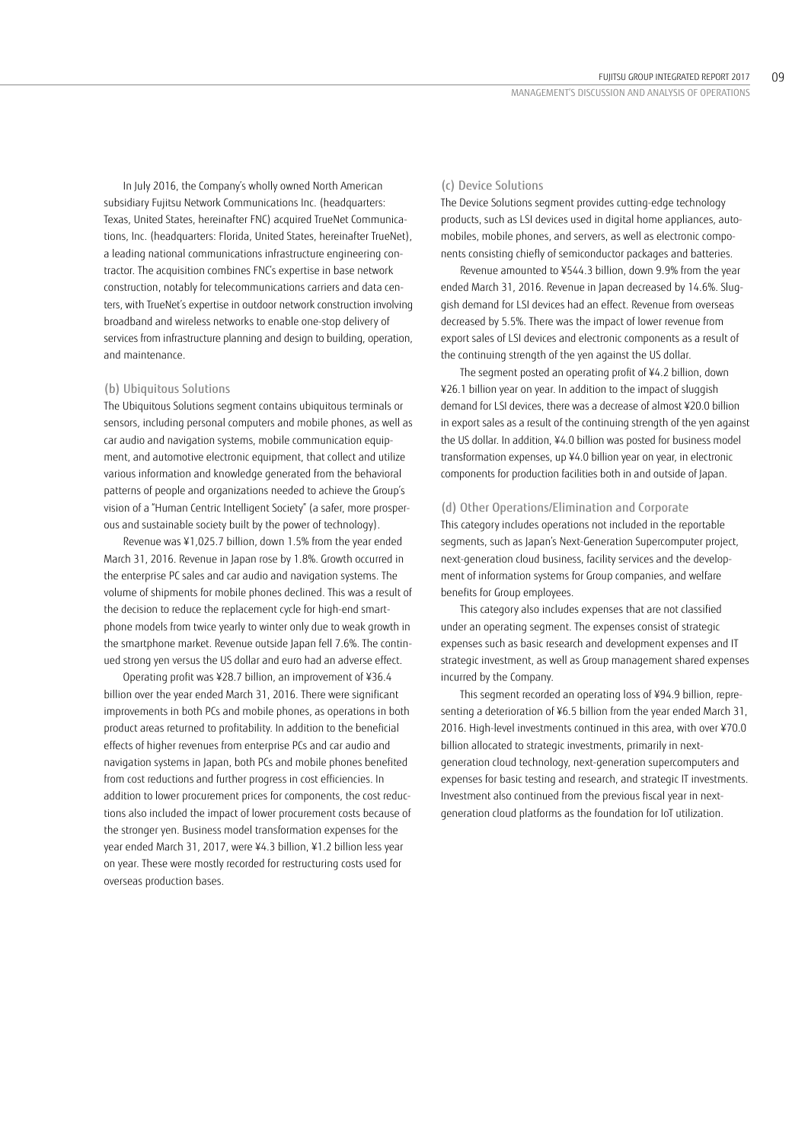In July 2016, the Company's wholly owned North American subsidiary Fujitsu Network Communications Inc. (headquarters: Texas, United States, hereinafter FNC) acquired TrueNet Communications, Inc. (headquarters: Florida, United States, hereinafter TrueNet), a leading national communications infrastructure engineering contractor. The acquisition combines FNC's expertise in base network construction, notably for telecommunications carriers and data centers, with TrueNet's expertise in outdoor network construction involving broadband and wireless networks to enable one-stop delivery of services from infrastructure planning and design to building, operation, and maintenance.

#### (b) Ubiquitous Solutions

The Ubiquitous Solutions segment contains ubiquitous terminals or sensors, including personal computers and mobile phones, as well as car audio and navigation systems, mobile communication equipment, and automotive electronic equipment, that collect and utilize various information and knowledge generated from the behavioral patterns of people and organizations needed to achieve the Group's vision of a "Human Centric Intelligent Society" (a safer, more prosperous and sustainable society built by the power of technology).

Revenue was ¥1,025.7 billion, down 1.5% from the year ended March 31, 2016. Revenue in Japan rose by 1.8%. Growth occurred in the enterprise PC sales and car audio and navigation systems. The volume of shipments for mobile phones declined. This was a result of the decision to reduce the replacement cycle for high-end smartphone models from twice yearly to winter only due to weak growth in the smartphone market. Revenue outside Japan fell 7.6%. The continued strong yen versus the US dollar and euro had an adverse effect.

Operating profit was ¥28.7 billion, an improvement of ¥36.4 billion over the year ended March 31, 2016. There were significant improvements in both PCs and mobile phones, as operations in both product areas returned to profitability. In addition to the beneficial effects of higher revenues from enterprise PCs and car audio and navigation systems in Japan, both PCs and mobile phones benefited from cost reductions and further progress in cost efficiencies. In addition to lower procurement prices for components, the cost reductions also included the impact of lower procurement costs because of the stronger yen. Business model transformation expenses for the year ended March 31, 2017, were ¥4.3 billion, ¥1.2 billion less year on year. These were mostly recorded for restructuring costs used for overseas production bases.

#### (c) Device Solutions

The Device Solutions segment provides cutting-edge technology products, such as LSI devices used in digital home appliances, automobiles, mobile phones, and servers, as well as electronic components consisting chiefly of semiconductor packages and batteries.

Revenue amounted to ¥544.3 billion, down 9.9% from the year ended March 31, 2016. Revenue in Japan decreased by 14.6%. Sluggish demand for LSI devices had an effect. Revenue from overseas decreased by 5.5%. There was the impact of lower revenue from export sales of LSI devices and electronic components as a result of the continuing strength of the yen against the US dollar.

The segment posted an operating profit of ¥4.2 billion, down ¥26.1 billion year on year. In addition to the impact of sluggish demand for LSI devices, there was a decrease of almost ¥20.0 billion in export sales as a result of the continuing strength of the yen against the US dollar. In addition, ¥4.0 billion was posted for business model transformation expenses, up ¥4.0 billion year on year, in electronic components for production facilities both in and outside of Japan.

#### (d) Other Operations/Elimination and Corporate

This category includes operations not included in the reportable segments, such as Japan's Next-Generation Supercomputer project, next-generation cloud business, facility services and the development of information systems for Group companies, and welfare benefits for Group employees.

This category also includes expenses that are not classified under an operating segment. The expenses consist of strategic expenses such as basic research and development expenses and IT strategic investment, as well as Group management shared expenses incurred by the Company.

This segment recorded an operating loss of ¥94.9 billion, representing a deterioration of ¥6.5 billion from the year ended March 31, 2016. High-level investments continued in this area, with over ¥70.0 billion allocated to strategic investments, primarily in nextgeneration cloud technology, next-generation supercomputers and expenses for basic testing and research, and strategic IT investments. Investment also continued from the previous fiscal year in nextgeneration cloud platforms as the foundation for IoT utilization.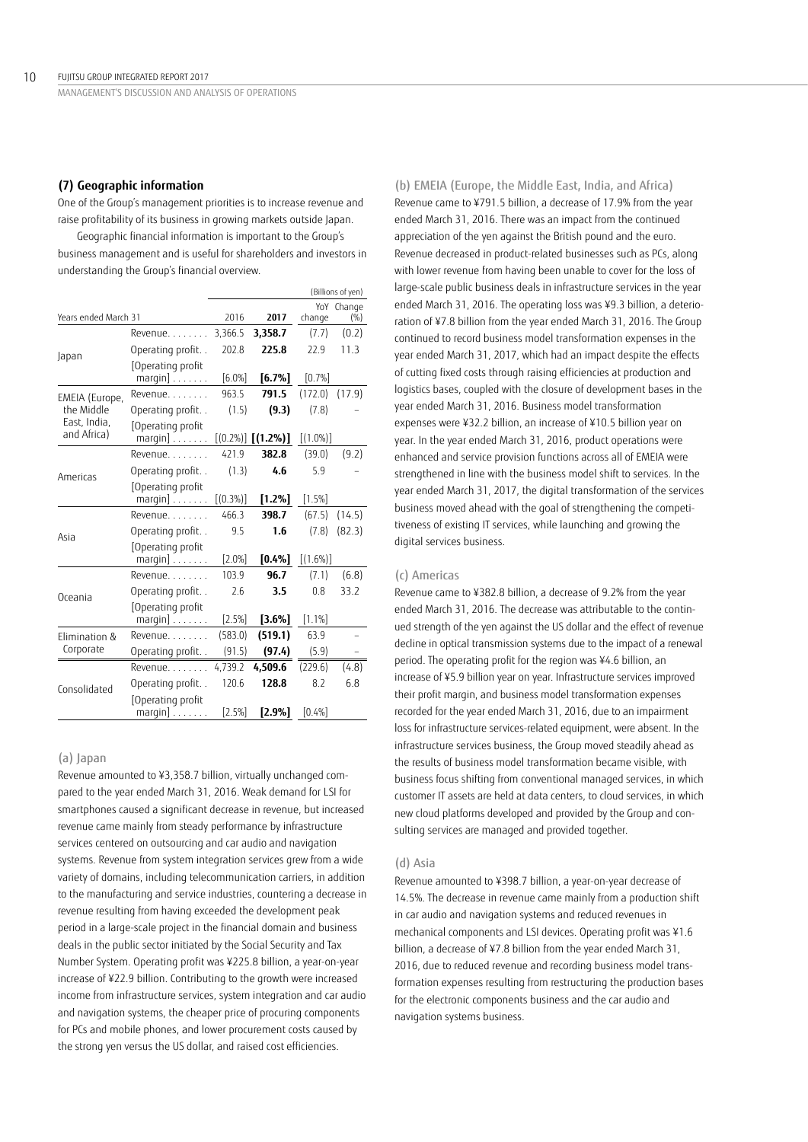## **(7) Geographic information**

One of the Group's management priorities is to increase revenue and raise profitability of its business in growing markets outside Japan.

Geographic financial information is important to the Group's business management and is useful for shareholders and investors in understanding the Group's financial overview.

|                             |                                                  |             |                         |             | (Billions of yen) |
|-----------------------------|--------------------------------------------------|-------------|-------------------------|-------------|-------------------|
| Years ended March 31        |                                                  | 2016        | 2017                    | change      | YoY Change<br>(%) |
|                             | Revenue.                                         | 3,366.5     | 3,358.7                 | (7.7)       | (0.2)             |
| Japan                       | Operating profit                                 | 202.8       | 225.8                   | 22.9        | 11.3              |
|                             | [Operating profit<br>$margin] \ldots \ldots$     | $[6.0\%]$   | $[6.7\%]$               | [0.7%]      |                   |
| EMEIA (Europe,              | Revenue.                                         | 963.5       | 791.5                   | (172.0)     | (17.9)            |
| the Middle                  | Operating profit                                 | (1.5)       | (9.3)                   | (7.8)       |                   |
| East, India,<br>and Africa) | Operating profit<br>$margin] \ldots \ldots$      |             | $[(0.2\%)]$ $[(1.2\%)]$ | $[(1.0\%)]$ |                   |
|                             | Revenue                                          | 421.9       | 382.8                   | (39.0)      | (9.2)             |
| Americas                    | Operating profit                                 | (1.3)       | 4.6                     | 5.9         |                   |
|                             | Operating profit<br>$m$ argin] $\ldots \ldots$ . | $[(0.3\%)]$ | $[1.2\%]$               | [1.5%]      |                   |
|                             | Revenue                                          | 466.3       | 398.7                   | (67.5)      | (14.5)            |
| Asia                        | Operating profit                                 | 9.5         | 1.6                     | (7.8)       | (82.3)            |
|                             | Operating profit<br>$margin] \ldots \ldots$      | [2.0%]      | [0.4%]                  | $[(1.6\%)]$ |                   |
|                             | Revenue                                          | 103.9       | 96.7                    | (7.1)       | (6.8)             |
| Oceania                     | Operating profit                                 | 2.6         | 3.5                     | 0.8         | 33.2              |
|                             | [Operating profit<br>margin] $\,\dots \dots$     | [2.5%]      | $[3.6\%]$               | [1.1%]      |                   |
| Elimination &               | Revenue.                                         | (583.0)     | (519.1)                 | 63.9        |                   |
| Corporate                   | Operating profit                                 | (91.5)      | (97.4)                  | (5.9)       |                   |
|                             | Revenue.                                         | 4,739.2     | 4,509.6                 | (229.6)     | (4.8)             |
| Consolidated                | Operating profit                                 | 120.6       | 128.8                   | 8.2         | 6.8               |
|                             | Operating profit<br>$margin] \ldots \ldots$      | [2.5%]      | [2.9%]                  | [0.4%]      |                   |

#### (a) Japan

Revenue amounted to ¥3,358.7 billion, virtually unchanged compared to the year ended March 31, 2016. Weak demand for LSI for smartphones caused a significant decrease in revenue, but increased revenue came mainly from steady performance by infrastructure services centered on outsourcing and car audio and navigation systems. Revenue from system integration services grew from a wide variety of domains, including telecommunication carriers, in addition to the manufacturing and service industries, countering a decrease in revenue resulting from having exceeded the development peak period in a large-scale project in the financial domain and business deals in the public sector initiated by the Social Security and Tax Number System. Operating profit was ¥225.8 billion, a year-on-year increase of ¥22.9 billion. Contributing to the growth were increased income from infrastructure services, system integration and car audio and navigation systems, the cheaper price of procuring components for PCs and mobile phones, and lower procurement costs caused by the strong yen versus the US dollar, and raised cost efficiencies.

(b) EMEIA (Europe, the Middle East, India, and Africa) Revenue came to ¥791.5 billion, a decrease of 17.9% from the year ended March 31, 2016. There was an impact from the continued appreciation of the yen against the British pound and the euro. Revenue decreased in product-related businesses such as PCs, along with lower revenue from having been unable to cover for the loss of large-scale public business deals in infrastructure services in the year ended March 31, 2016. The operating loss was ¥9.3 billion, a deterioration of ¥7.8 billion from the year ended March 31, 2016. The Group continued to record business model transformation expenses in the year ended March 31, 2017, which had an impact despite the effects of cutting fixed costs through raising efficiencies at production and logistics bases, coupled with the closure of development bases in the year ended March 31, 2016. Business model transformation expenses were ¥32.2 billion, an increase of ¥10.5 billion year on year. In the year ended March 31, 2016, product operations were enhanced and service provision functions across all of EMEIA were strengthened in line with the business model shift to services. In the year ended March 31, 2017, the digital transformation of the services business moved ahead with the goal of strengthening the competitiveness of existing IT services, while launching and growing the digital services business.

## (c) Americas

Revenue came to ¥382.8 billion, a decrease of 9.2% from the year ended March 31, 2016. The decrease was attributable to the continued strength of the yen against the US dollar and the effect of revenue decline in optical transmission systems due to the impact of a renewal period. The operating profit for the region was ¥4.6 billion, an increase of ¥5.9 billion year on year. Infrastructure services improved their profit margin, and business model transformation expenses recorded for the year ended March 31, 2016, due to an impairment loss for infrastructure services-related equipment, were absent. In the infrastructure services business, the Group moved steadily ahead as the results of business model transformation became visible, with business focus shifting from conventional managed services, in which customer IT assets are held at data centers, to cloud services, in which new cloud platforms developed and provided by the Group and consulting services are managed and provided together.

#### (d) Asia

Revenue amounted to ¥398.7 billion, a year-on-year decrease of 14.5%. The decrease in revenue came mainly from a production shift in car audio and navigation systems and reduced revenues in mechanical components and LSI devices. Operating profit was ¥1.6 billion, a decrease of ¥7.8 billion from the year ended March 31, 2016, due to reduced revenue and recording business model transformation expenses resulting from restructuring the production bases for the electronic components business and the car audio and navigation systems business.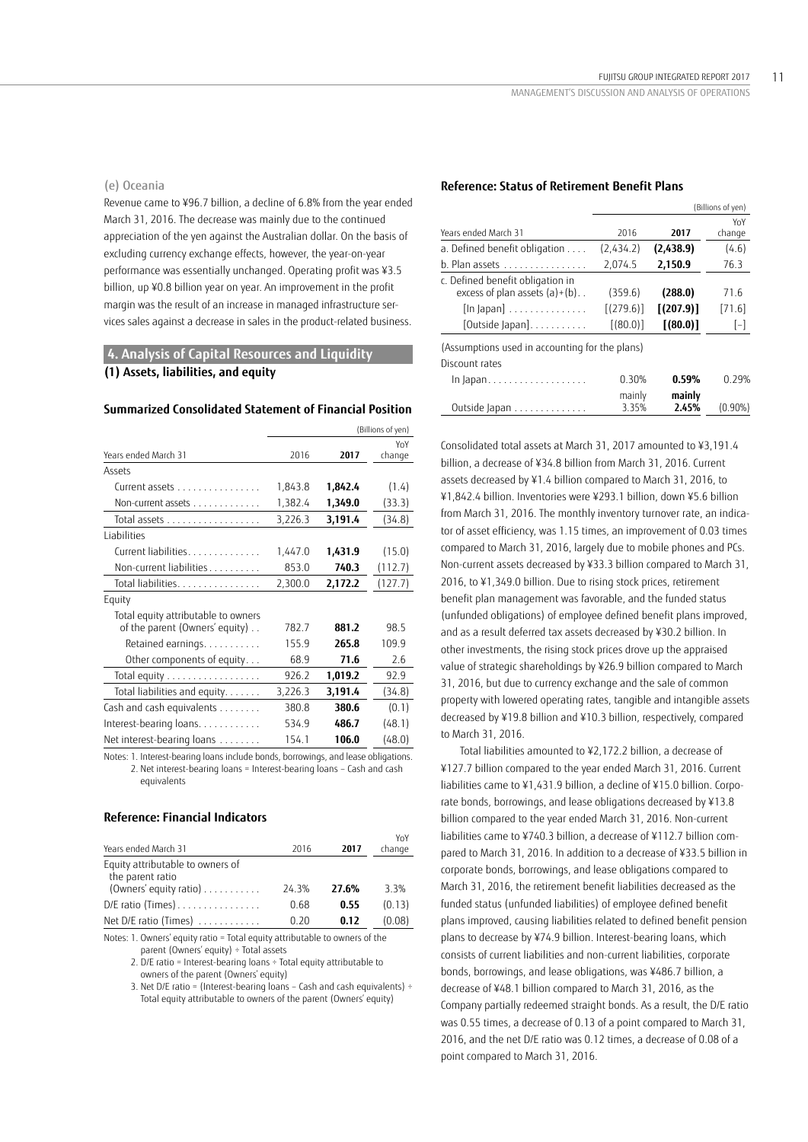#### (e) Oceania

Revenue came to ¥96.7 billion, a decline of 6.8% from the year ended March 31, 2016. The decrease was mainly due to the continued appreciation of the yen against the Australian dollar. On the basis of excluding currency exchange effects, however, the year-on-year performance was essentially unchanged. Operating profit was ¥3.5 billion, up ¥0.8 billion year on year. An improvement in the profit margin was the result of an increase in managed infrastructure services sales against a decrease in sales in the product-related business.

# **4. Analysis of Capital Resources and Liquidity (1) Assets, liabilities, and equity**

## **Summarized Consolidated Statement of Financial Position**

|                                     | (Billions of yen) |         |         |
|-------------------------------------|-------------------|---------|---------|
|                                     |                   |         | YoY     |
| Years ended March 31                | 2016              | 2017    | change  |
| Assets                              |                   |         |         |
| Current assets                      | 1,843.8           | 1,842.4 | (1.4)   |
| Non-current assets                  | 1,382.4           | 1,349.0 | (33.3)  |
| Total assets                        | 3,226.3           | 3,191.4 | (34.8)  |
| <b>Liabilities</b>                  |                   |         |         |
| Current liabilities.                | 1,447.0           | 1,431.9 | (15.0)  |
| Non-current liabilities             | 853.0             | 740.3   | (112.7) |
| Total liabilities.                  | 2,300.0           | 2,172.2 | (127.7) |
| Equity                              |                   |         |         |
| Total equity attributable to owners |                   |         |         |
| of the parent (Owners' equity)      | 782.7             | 881.2   | 98.5    |
| Retained earnings.                  | 155.9             | 265.8   | 109.9   |
| Other components of equity          | 68.9              | 71.6    | 2.6     |
| Total equity                        | 926.2             | 1,019.2 | 92.9    |
| Total liabilities and equity.       | 3,226.3           | 3,191.4 | (34.8)  |
| Cash and cash equivalents           | 380.8             | 380.6   | (0.1)   |
| Interest-bearing loans.             | 534.9             | 486.7   | (48.1)  |
| Net interest-bearing loans          | 154.1             | 106.0   | (48.0)  |

Notes: 1. Interest-bearing loans include bonds, borrowings, and lease obligations. 2. Net interest-bearing loans = Interest-bearing loans – Cash and cash equivalents

## **Reference: Financial Indicators**

| 2016  | 2017  | YoY<br>change |
|-------|-------|---------------|
|       |       |               |
| 24.3% | 27.6% | 3.3%          |
| 0.68  | 0.55  | (0.13)        |
| 0.20  | 0.12  | (0.08)        |
|       |       |               |

Notes: 1. Owners' equity ratio = Total equity attributable to owners of the parent (Owners' equity) ÷ Total assets

2. D/E ratio = Interest-bearing loans ÷ Total equity attributable to owners of the parent (Owners' equity)

3. Net D/E ratio = (Interest-bearing loans – Cash and cash equivalents) ÷ Total equity attributable to owners of the parent (Owners' equity)

# **Reference: Status of Retirement Benefit Plans**

|                                                                                                                                                 |                                    |                                    | (Billions of yen)       |
|-------------------------------------------------------------------------------------------------------------------------------------------------|------------------------------------|------------------------------------|-------------------------|
| Years ended March 31                                                                                                                            | 2016                               | 2017                               | YoY<br>change           |
| a. Defined benefit obligation                                                                                                                   | (2,434.2)                          | (2,438.9)                          | (4.6)                   |
| $b.$ Plan assets $\ldots \ldots \ldots \ldots$                                                                                                  | 2,074.5                            | 2,150.9                            | 76.3                    |
| c. Defined benefit obligation in<br>excess of plan assets $(a)+(b)$<br>$\lceil \ln \rceil$ apan $\rceil$<br>$[Outside Japan] \dots \dots \dots$ | (359.6)<br>[(279.6)]<br>$(80.0)$ ] | (288.0)<br>[(207.9)]<br>$(80.0)$ ] | 71.6<br>[71.6]<br>$[-]$ |
| (Assumptions used in accounting for the plans)<br>Discount rates                                                                                | 0.30%                              | 0.59%                              | 0.29%                   |
| Outside Japan                                                                                                                                   | mainly<br>3.35%                    | mainly<br>2.45%                    | $(0.90\%)$              |

Consolidated total assets at March 31, 2017 amounted to ¥3,191.4 billion, a decrease of ¥34.8 billion from March 31, 2016. Current assets decreased by ¥1.4 billion compared to March 31, 2016, to ¥1,842.4 billion. Inventories were ¥293.1 billion, down ¥5.6 billion from March 31, 2016. The monthly inventory turnover rate, an indicator of asset efficiency, was 1.15 times, an improvement of 0.03 times compared to March 31, 2016, largely due to mobile phones and PCs. Non-current assets decreased by ¥33.3 billion compared to March 31, 2016, to ¥1,349.0 billion. Due to rising stock prices, retirement benefit plan management was favorable, and the funded status (unfunded obligations) of employee defined benefit plans improved, and as a result deferred tax assets decreased by ¥30.2 billion. In other investments, the rising stock prices drove up the appraised value of strategic shareholdings by ¥26.9 billion compared to March 31, 2016, but due to currency exchange and the sale of common property with lowered operating rates, tangible and intangible assets decreased by ¥19.8 billion and ¥10.3 billion, respectively, compared to March 31, 2016.

Total liabilities amounted to ¥2,172.2 billion, a decrease of ¥127.7 billion compared to the year ended March 31, 2016. Current liabilities came to ¥1,431.9 billion, a decline of ¥15.0 billion. Corporate bonds, borrowings, and lease obligations decreased by ¥13.8 billion compared to the year ended March 31, 2016. Non-current liabilities came to ¥740.3 billion, a decrease of ¥112.7 billion compared to March 31, 2016. In addition to a decrease of ¥33.5 billion in corporate bonds, borrowings, and lease obligations compared to March 31, 2016, the retirement benefit liabilities decreased as the funded status (unfunded liabilities) of employee defined benefit plans improved, causing liabilities related to defined benefit pension plans to decrease by ¥74.9 billion. Interest-bearing loans, which consists of current liabilities and non-current liabilities, corporate bonds, borrowings, and lease obligations, was ¥486.7 billion, a decrease of ¥48.1 billion compared to March 31, 2016, as the Company partially redeemed straight bonds. As a result, the D/E ratio was 0.55 times, a decrease of 0.13 of a point compared to March 31, 2016, and the net D/E ratio was 0.12 times, a decrease of 0.08 of a point compared to March 31, 2016.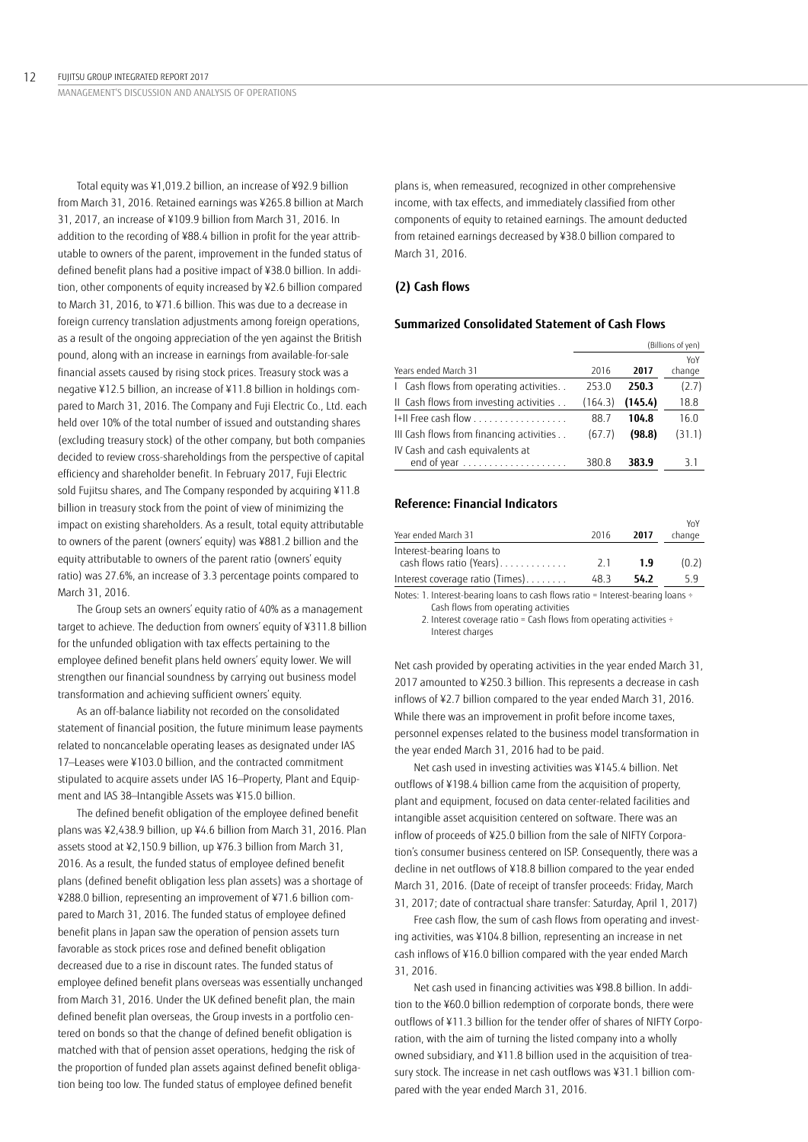Total equity was ¥1,019.2 billion, an increase of ¥92.9 billion from March 31, 2016. Retained earnings was ¥265.8 billion at March 31, 2017, an increase of ¥109.9 billion from March 31, 2016. In addition to the recording of ¥88.4 billion in profit for the year attributable to owners of the parent, improvement in the funded status of defined benefit plans had a positive impact of ¥38.0 billion. In addition, other components of equity increased by ¥2.6 billion compared to March 31, 2016, to ¥71.6 billion. This was due to a decrease in foreign currency translation adjustments among foreign operations, as a result of the ongoing appreciation of the yen against the British pound, along with an increase in earnings from available-for-sale financial assets caused by rising stock prices. Treasury stock was a negative ¥12.5 billion, an increase of ¥11.8 billion in holdings compared to March 31, 2016. The Company and Fuji Electric Co., Ltd. each held over 10% of the total number of issued and outstanding shares (excluding treasury stock) of the other company, but both companies decided to review cross-shareholdings from the perspective of capital efficiency and shareholder benefit. In February 2017, Fuji Electric sold Fujitsu shares, and The Company responded by acquiring ¥11.8 billion in treasury stock from the point of view of minimizing the impact on existing shareholders. As a result, total equity attributable to owners of the parent (owners' equity) was ¥881.2 billion and the equity attributable to owners of the parent ratio (owners' equity ratio) was 27.6%, an increase of 3.3 percentage points compared to March 31, 2016.

The Group sets an owners' equity ratio of 40% as a management target to achieve. The deduction from owners' equity of ¥311.8 billion for the unfunded obligation with tax effects pertaining to the employee defined benefit plans held owners' equity lower. We will strengthen our financial soundness by carrying out business model transformation and achieving sufficient owners' equity.

As an off-balance liability not recorded on the consolidated statement of financial position, the future minimum lease payments related to noncancelable operating leases as designated under IAS 17—Leases were ¥103.0 billion, and the contracted commitment stipulated to acquire assets under IAS 16—Property, Plant and Equipment and IAS 38—Intangible Assets was ¥15.0 billion.

The defined benefit obligation of the employee defined benefit plans was ¥2,438.9 billion, up ¥4.6 billion from March 31, 2016. Plan assets stood at ¥2,150.9 billion, up ¥76.3 billion from March 31, 2016. As a result, the funded status of employee defined benefit plans (defined benefit obligation less plan assets) was a shortage of ¥288.0 billion, representing an improvement of ¥71.6 billion compared to March 31, 2016. The funded status of employee defined benefit plans in Japan saw the operation of pension assets turn favorable as stock prices rose and defined benefit obligation decreased due to a rise in discount rates. The funded status of employee defined benefit plans overseas was essentially unchanged from March 31, 2016. Under the UK defined benefit plan, the main defined benefit plan overseas, the Group invests in a portfolio centered on bonds so that the change of defined benefit obligation is matched with that of pension asset operations, hedging the risk of the proportion of funded plan assets against defined benefit obligation being too low. The funded status of employee defined benefit

plans is, when remeasured, recognized in other comprehensive income, with tax effects, and immediately classified from other components of equity to retained earnings. The amount deducted from retained earnings decreased by ¥38.0 billion compared to March 31, 2016.

# **(2) Cash flows**

# **Summarized Consolidated Statement of Cash Flows**

|                                          | (Billions of yen) |         |        |
|------------------------------------------|-------------------|---------|--------|
|                                          |                   |         | YoY    |
| Years ended March 31                     | 2016              | 2017    | change |
| I Cash flows from operating activities   | 253.0             | 250.3   | (2.7)  |
| II Cash flows from investing activities  | (164.3)           | (145.4) | 18.8   |
| I+II Free cash flow                      | 88.7              | 104.8   | 16.0   |
| III Cash flows from financing activities | (67.7)            | (98.8)  | (31.1) |
| IV Cash and cash equivalents at          |                   |         |        |
| end of year                              | 380.8             | 383.9   | 3.1    |

# **Reference: Financial Indicators**

| Year ended March 31                                   | 2016 | 2017 | YoY<br>change |
|-------------------------------------------------------|------|------|---------------|
| Interest-bearing loans to<br>cash flows ratio (Years) | 21   | 1.9  | (0.2)         |
| Interest coverage ratio (Times)                       | 48.3 | 54.2 | 5.9           |

Notes: 1. Interest-bearing loans to cash flows ratio = Interest-bearing loans ÷ Cash flows from operating activities

2. Interest coverage ratio = Cash flows from operating activities  $\div$ Interest charges

Net cash provided by operating activities in the year ended March 31, 2017 amounted to ¥250.3 billion. This represents a decrease in cash inflows of ¥2.7 billion compared to the year ended March 31, 2016. While there was an improvement in profit before income taxes, personnel expenses related to the business model transformation in the year ended March 31, 2016 had to be paid.

Net cash used in investing activities was ¥145.4 billion. Net outflows of ¥198.4 billion came from the acquisition of property, plant and equipment, focused on data center-related facilities and intangible asset acquisition centered on software. There was an inflow of proceeds of ¥25.0 billion from the sale of NIFTY Corporation's consumer business centered on ISP. Consequently, there was a decline in net outflows of ¥18.8 billion compared to the year ended March 31, 2016. (Date of receipt of transfer proceeds: Friday, March 31, 2017; date of contractual share transfer: Saturday, April 1, 2017)

Free cash flow, the sum of cash flows from operating and investing activities, was ¥104.8 billion, representing an increase in net cash inflows of ¥16.0 billion compared with the year ended March 31, 2016.

Net cash used in financing activities was ¥98.8 billion. In addition to the ¥60.0 billion redemption of corporate bonds, there were outflows of ¥11.3 billion for the tender offer of shares of NIFTY Corporation, with the aim of turning the listed company into a wholly owned subsidiary, and ¥11.8 billion used in the acquisition of treasury stock. The increase in net cash outflows was ¥31.1 billion compared with the year ended March 31, 2016.